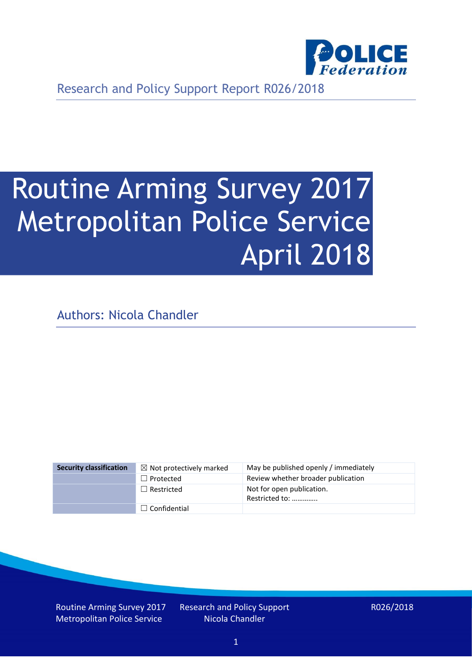

Research and Policy Support Report R026/2018

# Routine Arming Survey 2017 Metropolitan Police Service April 2018

Authors: Nicola Chandler

| <b>Security classification</b> | $\boxtimes$ Not protectively marked | May be published openly / immediately       |
|--------------------------------|-------------------------------------|---------------------------------------------|
|                                | $\Box$ Protected                    | Review whether broader publication          |
|                                | $\Box$ Restricted                   | Not for open publication.<br>Restricted to: |
|                                | $\Box$ Confidential                 |                                             |

Routine Arming Survey 2017 Metropolitan Police Service

Research and Policy Support Nicola Chandler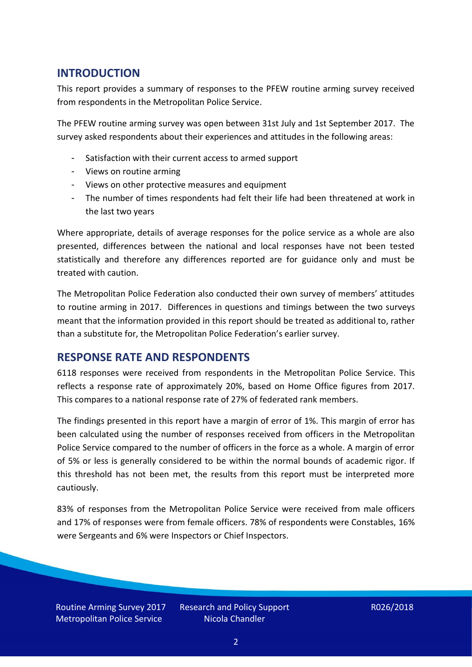# **INTRODUCTION**

This report provides a summary of responses to the PFEW routine arming survey received from respondents in the Metropolitan Police Service.

The PFEW routine arming survey was open between 31st July and 1st September 2017. The survey asked respondents about their experiences and attitudes in the following areas:

- Satisfaction with their current access to armed support
- Views on routine arming
- Views on other protective measures and equipment
- The number of times respondents had felt their life had been threatened at work in the last two years

Where appropriate, details of average responses for the police service as a whole are also presented, differences between the national and local responses have not been tested statistically and therefore any differences reported are for guidance only and must be treated with caution.

The Metropolitan Police Federation also conducted their own survey of members' attitudes to routine arming in 2017. Differences in questions and timings between the two surveys meant that the information provided in this report should be treated as additional to, rather than a substitute for, the Metropolitan Police Federation's earlier survey.

# **RESPONSE RATE AND RESPONDENTS**

6118 responses were received from respondents in the Metropolitan Police Service. This reflects a response rate of approximately 20%, based on Home Office figures from 2017. This compares to a national response rate of 27% of federated rank members.

The findings presented in this report have a margin of error of 1%. This margin of error has been calculated using the number of responses received from officers in the Metropolitan Police Service compared to the number of officers in the force as a whole. A margin of error of 5% or less is generally considered to be within the normal bounds of academic rigor. If this threshold has not been met, the results from this report must be interpreted more cautiously.

83% of responses from the Metropolitan Police Service were received from male officers and 17% of responses were from female officers. 78% of respondents were Constables, 16% were Sergeants and 6% were Inspectors or Chief Inspectors.

Routine Arming Survey 2017 Metropolitan Police Service

Research and Policy Support Nicola Chandler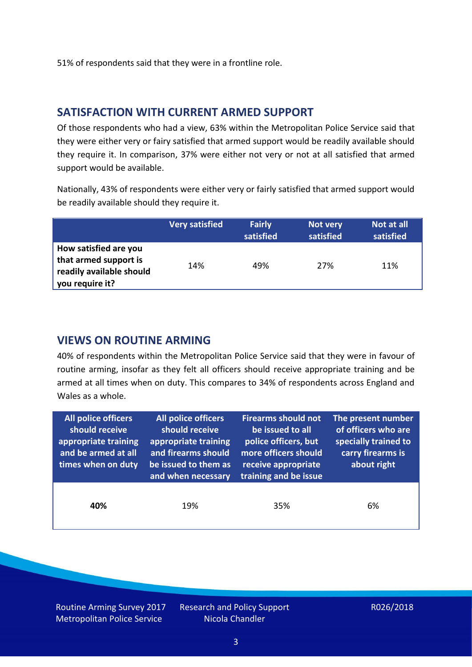51% of respondents said that they were in a frontline role.

### **SATISFACTION WITH CURRENT ARMED SUPPORT**

Of those respondents who had a view, 63% within the Metropolitan Police Service said that they were either very or fairy satisfied that armed support would be readily available should they require it. In comparison, 37% were either not very or not at all satisfied that armed support would be available.

Nationally, 43% of respondents were either very or fairly satisfied that armed support would be readily available should they require it.

|                                                                                               | Very satisfied | <b>Fairly</b><br>satisfied | Not very<br>satisfied | Not at all<br>satisfied |
|-----------------------------------------------------------------------------------------------|----------------|----------------------------|-----------------------|-------------------------|
| How satisfied are you<br>that armed support is<br>readily available should<br>you require it? | 14%            | 49%                        | 27%                   | 11%                     |

## **VIEWS ON ROUTINE ARMING**

40% of respondents within the Metropolitan Police Service said that they were in favour of routine arming, insofar as they felt all officers should receive appropriate training and be armed at all times when on duty. This compares to 34% of respondents across England and Wales as a whole.

| All police officers<br>should receive<br>appropriate training<br>and be armed at all<br>times when on duty | All police officers<br>should receive<br>appropriate training<br>and firearms should<br>be issued to them as<br>and when necessary | <b>Firearms should not</b><br>be issued to all<br>police officers, but<br>more officers should<br>receive appropriate<br>training and be issue | The present number<br>of officers who are<br>specially trained to<br>carry firearms is<br>about right |  |
|------------------------------------------------------------------------------------------------------------|------------------------------------------------------------------------------------------------------------------------------------|------------------------------------------------------------------------------------------------------------------------------------------------|-------------------------------------------------------------------------------------------------------|--|
| 40%                                                                                                        | 19%                                                                                                                                | 35%                                                                                                                                            | 6%                                                                                                    |  |

Routine Arming Survey 2017 Metropolitan Police Service

Research and Policy Support Nicola Chandler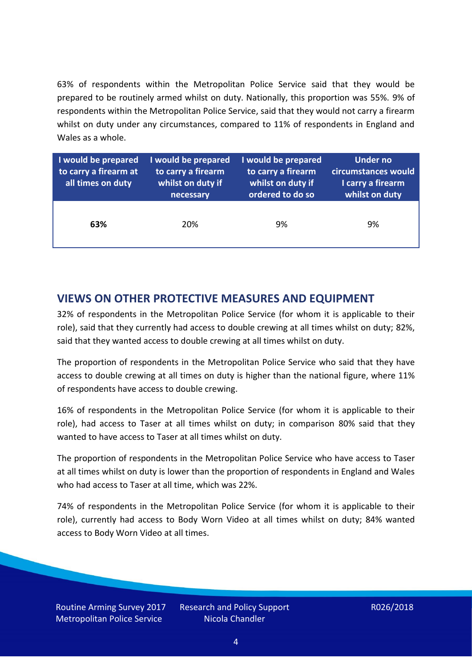63% of respondents within the Metropolitan Police Service said that they would be prepared to be routinely armed whilst on duty. Nationally, this proportion was 55%. 9% of respondents within the Metropolitan Police Service, said that they would not carry a firearm whilst on duty under any circumstances, compared to 11% of respondents in England and Wales as a whole.

| I would be prepared<br>to carry a firearm at<br>all times on duty | I would be prepared<br>to carry a firearm<br>whilst on duty if<br>necessary | I would be prepared<br>to carry a firearm<br>whilst on duty if<br>ordered to do so | Under no<br>circumstances would<br>I carry a firearm<br>whilst on duty |  |
|-------------------------------------------------------------------|-----------------------------------------------------------------------------|------------------------------------------------------------------------------------|------------------------------------------------------------------------|--|
| 63%                                                               | 20%                                                                         | 9%                                                                                 | 9%                                                                     |  |

# **VIEWS ON OTHER PROTECTIVE MEASURES AND EQUIPMENT**

32% of respondents in the Metropolitan Police Service (for whom it is applicable to their role), said that they currently had access to double crewing at all times whilst on duty; 82%, said that they wanted access to double crewing at all times whilst on duty.

The proportion of respondents in the Metropolitan Police Service who said that they have access to double crewing at all times on duty is higher than the national figure, where 11% of respondents have access to double crewing.

16% of respondents in the Metropolitan Police Service (for whom it is applicable to their role), had access to Taser at all times whilst on duty; in comparison 80% said that they wanted to have access to Taser at all times whilst on duty.

The proportion of respondents in the Metropolitan Police Service who have access to Taser at all times whilst on duty is lower than the proportion of respondents in England and Wales who had access to Taser at all time, which was 22%.

74% of respondents in the Metropolitan Police Service (for whom it is applicable to their role), currently had access to Body Worn Video at all times whilst on duty; 84% wanted access to Body Worn Video at all times.

Routine Arming Survey 2017 Metropolitan Police Service

Research and Policy Support Nicola Chandler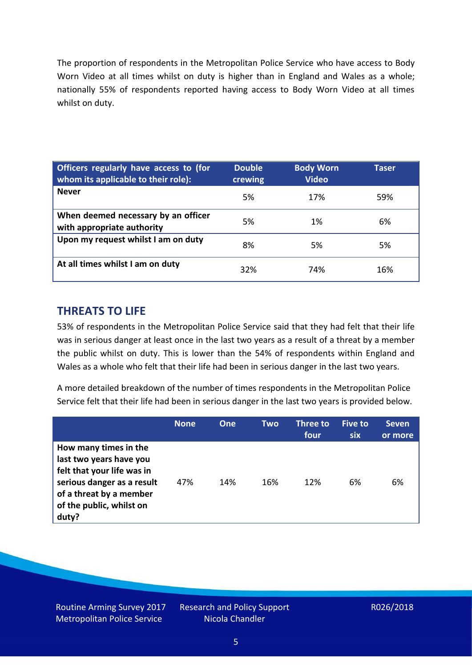The proportion of respondents in the Metropolitan Police Service who have access to Body Worn Video at all times whilst on duty is higher than in England and Wales as a whole; nationally 55% of respondents reported having access to Body Worn Video at all times whilst on duty.

| Officers regularly have access to (for<br>whom its applicable to their role): | <b>Double</b><br>crewing | <b>Body Worn</b><br><b>Video</b> | Taser |  |
|-------------------------------------------------------------------------------|--------------------------|----------------------------------|-------|--|
| <b>Never</b>                                                                  | 5%                       | 17%                              | 59%   |  |
| When deemed necessary by an officer<br>with appropriate authority             | 5%                       | 1%                               | 6%    |  |
| Upon my request whilst I am on duty                                           | 8%                       | 5%                               | 5%    |  |
| At all times whilst I am on duty                                              | 32%                      | 74%                              | 16%   |  |

# **THREATS TO LIFE**

53% of respondents in the Metropolitan Police Service said that they had felt that their life was in serious danger at least once in the last two years as a result of a threat by a member the public whilst on duty. This is lower than the 54% of respondents within England and Wales as a whole who felt that their life had been in serious danger in the last two years.

A more detailed breakdown of the number of times respondents in the Metropolitan Police Service felt that their life had been in serious danger in the last two years is provided below.

|                                                                                                                                                                              | <b>None</b> | One | Two | Three to<br>four | <b>Five to</b><br><b>six</b> | <b>Seven</b><br>or more |
|------------------------------------------------------------------------------------------------------------------------------------------------------------------------------|-------------|-----|-----|------------------|------------------------------|-------------------------|
| How many times in the<br>last two years have you<br>felt that your life was in<br>serious danger as a result<br>of a threat by a member<br>of the public, whilst on<br>duty? | 47%         | 14% | 16% | 12%              | 6%                           | 6%                      |

Routine Arming Survey 2017 Metropolitan Police Service

Research and Policy Support Nicola Chandler